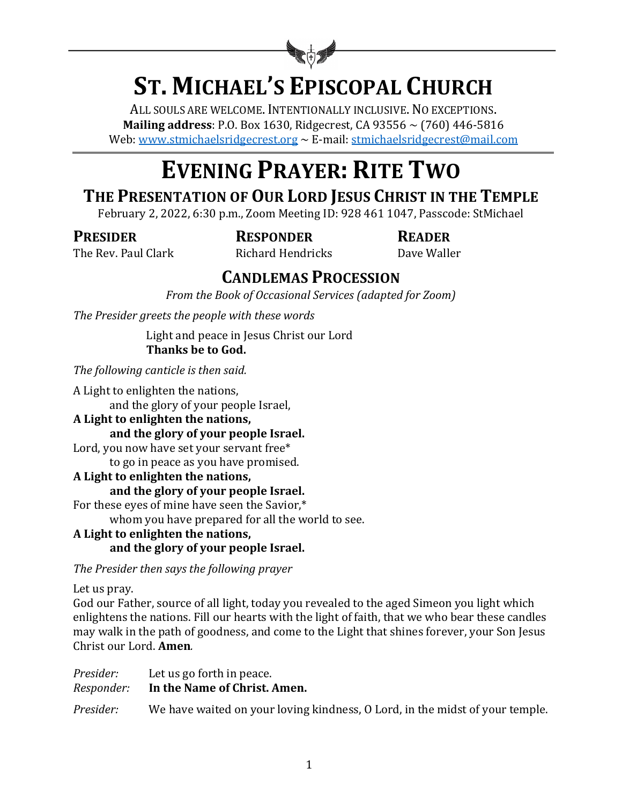

# **ST. MICHAEL'S EPISCOPAL CHURCH**

ALL SOULS ARE WELCOME. INTENTIONALLY INCLUSIVE. NO EXCEPTIONS. **Mailing address**: P.O. Box 1630, Ridgecrest, CA 93556  $\sim$  (760) 446-5816 Web: www.stmichaelsridgecrest.org  $\sim$  E-mail: stmichaelsridgecrest@mail.com

# **EVENING PRAYER: RITE TWO**

# THE PRESENTATION OF OUR LORD JESUS CHRIST IN THE TEMPLE

February 2, 2022, 6:30 p.m., Zoom Meeting ID: 928 461 1047, Passcode: StMichael

**PRESIDER RESPONDER READER**

The Rev. Paul Clark **Richard Hendricks** Dave Waller

# **CANDLEMAS PROCESSION**

*From the Book of Occasional Services (adapted for Zoom)* 

The Presider greets the people with these words

Light and peace in Jesus Christ our Lord Thanks be to God.

*The following canticle is then said.* 

A Light to enlighten the nations, and the glory of your people Israel,

**A Light to enlighten the nations,**

and the glory of your people Israel.

Lord, you now have set your servant free\*

to go in peace as you have promised.

#### A Light to enlighten the nations, and the glory of your people Israel.

For these eyes of mine have seen the Savior,\*

whom you have prepared for all the world to see.

#### **A Light to enlighten the nations,** and the glory of your people Israel.

*The Presider then says the following prayer*

Let us pray.

God our Father, source of all light, today you revealed to the aged Simeon you light which enlightens the nations. Fill our hearts with the light of faith, that we who bear these candles may walk in the path of goodness, and come to the Light that shines forever, your Son Jesus Christ our Lord. **Amen**.

| Presider:  | Let us go forth in peace.                                                    |  |
|------------|------------------------------------------------------------------------------|--|
| Responder: | In the Name of Christ. Amen.                                                 |  |
| Presider:  | We have waited on your loving kindness, O Lord, in the midst of your temple. |  |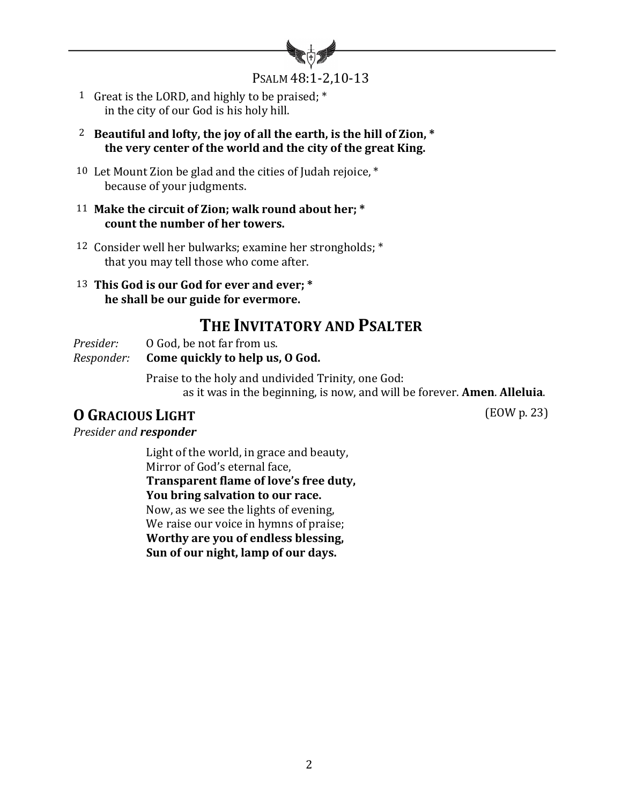

PSALM 48:1-2,10-13

- 1 Great is the LORD, and highly to be praised;  $*$ in the city of our God is his holy hill.
- <sup>2</sup> Beautiful and lofty, the joy of all the earth, is the hill of Zion,  $*$ the very center of the world and the city of the great King.
- 10 Let Mount Zion be glad and the cities of Judah rejoice,  $*$ because of your judgments.
- 11 Make the circuit of Zion; walk round about her; \* count the number of her towers.
- 12 Consider well her bulwarks; examine her strongholds; \* that you may tell those who come after.
- 13 This God is our God for ever and ever; \*  **he shall be our guide for evermore.**

## **THE INVITATORY AND PSALTER**

*Presider:* 0 God, be not far from us.

*Responder:* **Come quickly to help us, O God.** 

Praise to the holy and undivided Trinity, one God: as it was in the beginning, is now, and will be forever. **Amen. Alleluia.** 

# **O GRACIOUS** LIGHT (EOW p. 23)

**Presider and responder** 

Light of the world, in grace and beauty, Mirror of God's eternal face, **Transparent flame of love's free duty, You bring salvation to our race.** Now, as we see the lights of evening, We raise our voice in hymns of praise; **Worthy are you of endless blessing, Sun of our night, lamp of our days.**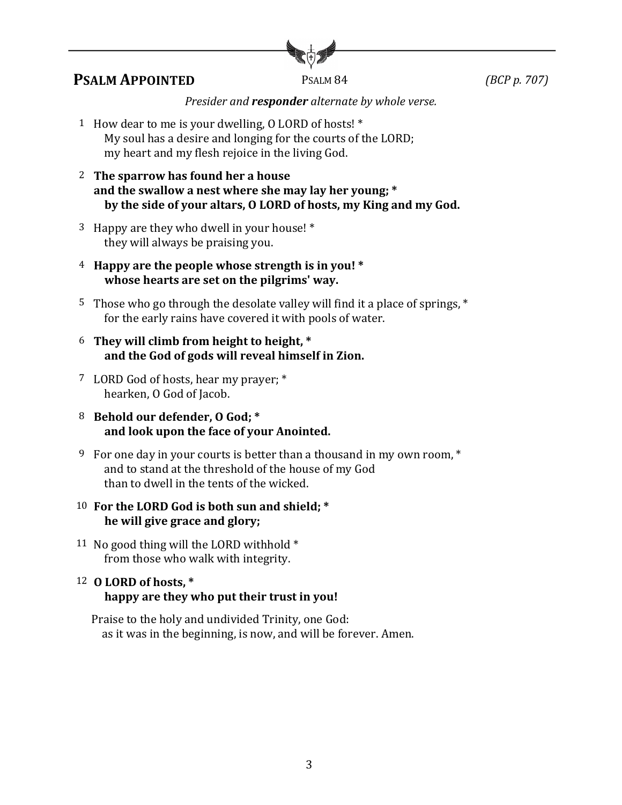

### **PSALM APPOINTED** PSALM 84 *(BCP p. 707)*

*Presider and responder alternate by whole verse.* 

- 1 How dear to me is your dwelling,  $0$  LORD of hosts!  $*$ My soul has a desire and longing for the courts of the LORD; my heart and my flesh rejoice in the living God.
- 2 The sparrow has found her a house and the swallow a nest where she may lay her young; \* by the side of your altars, O LORD of hosts, my King and my God.
- <sup>3</sup> Happy are they who dwell in your house!  $*$ they will always be praising you.
- 4 Happy are the people whose strength is in you! \* **whose hearts are set on the pilgrims' way.**
- 5 Those who go through the desolate valley will find it a place of springs, \* for the early rains have covered it with pools of water.
- <sup>6</sup> They will climb from height to height, \* and the God of gods will reveal himself in Zion.
- <sup>7</sup> LORD God of hosts, hear my prayer; \* hearken, O God of Jacob.
- 8 Behold our defender, 0 God; \* and look upon the face of your Anointed.
- 9 For one day in your courts is better than a thousand in my own room, \* and to stand at the threshold of the house of my God than to dwell in the tents of the wicked.

#### 10 For the LORD God is both sun and shield: \* he will give grace and glory;

11 No good thing will the LORD withhold \* from those who walk with integrity.

#### 12 **O LORD** of hosts, \* happy are they who put their trust in you!

Praise to the holy and undivided Trinity, one God: as it was in the beginning, is now, and will be forever. Amen.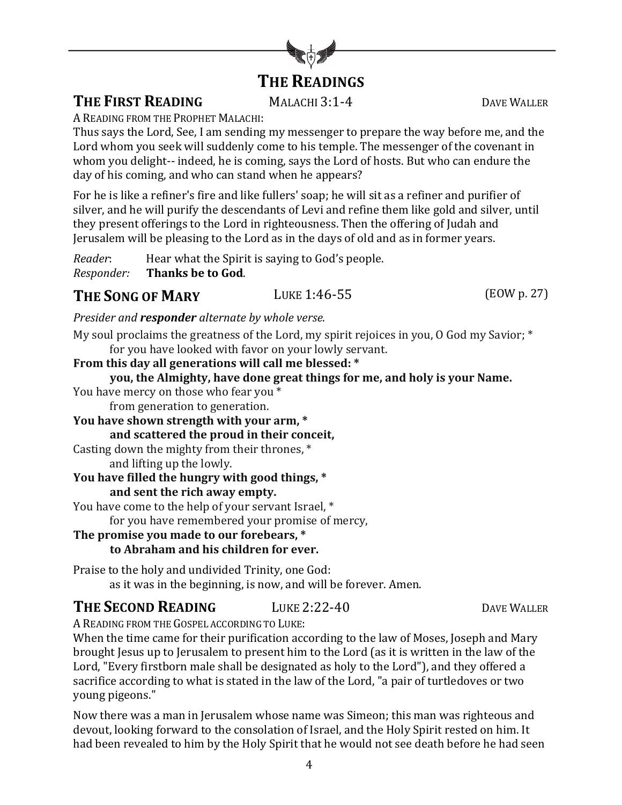# **THE READINGS**

**THE FIRST READING** MALACHI 3:1-4 DAVE WALLER

A READING FROM THE PROPHET MALACHI:

Thus says the Lord, See, I am sending my messenger to prepare the way before me, and the Lord whom you seek will suddenly come to his temple. The messenger of the covenant in whom you delight-- indeed, he is coming, says the Lord of hosts. But who can endure the day of his coming, and who can stand when he appears?

For he is like a refiner's fire and like fullers' soap; he will sit as a refiner and purifier of silver, and he will purify the descendants of Levi and refine them like gold and silver, until they present offerings to the Lord in righteousness. Then the offering of Judah and Jerusalem will be pleasing to the Lord as in the days of old and as in former years.

*Reader*: Hear what the Spirit is saying to God's people. *Responder:* **Thanks be to God.** 

**THE SONG OF MARY** LUKE 1:46-55 (EOW p. 27)

*Presider and responder alternate by whole verse.* 

My soul proclaims the greatness of the Lord, my spirit rejoices in you, O God my Savior; \* for you have looked with favor on your lowly servant.

**From this day all generations will call me blessed: \***

**you, the Almighty, have done great things for me, and holy is your Name.**

You have mercy on those who fear you \* from generation to generation.

You have shown strength with your arm,  $*$ **and scattered the proud in their conceit,**

Casting down the mighty from their thrones,  $*$ 

and lifting up the lowly.

# You have filled the hungry with good things,  $*$

**and sent the rich away empty.**

You have come to the help of your servant Israel, \* for you have remembered your promise of mercy,

**The promise you made to our forebears, \* to Abraham and his children for ever.**

Praise to the holy and undivided Trinity, one God: as it was in the beginning, is now, and will be forever. Amen.

### **THE SECOND READING** LUKE 2:22-40 DAVE WALLER

A READING FROM THE GOSPEL ACCORDING TO LUKE:

When the time came for their purification according to the law of Moses, Joseph and Mary brought Jesus up to Jerusalem to present him to the Lord (as it is written in the law of the Lord, "Every firstborn male shall be designated as holy to the Lord"), and they offered a sacrifice according to what is stated in the law of the Lord, "a pair of turtledoves or two voung pigeons."

Now there was a man in Jerusalem whose name was Simeon; this man was righteous and devout, looking forward to the consolation of Israel, and the Holy Spirit rested on him. It had been revealed to him by the Holy Spirit that he would not see death before he had seen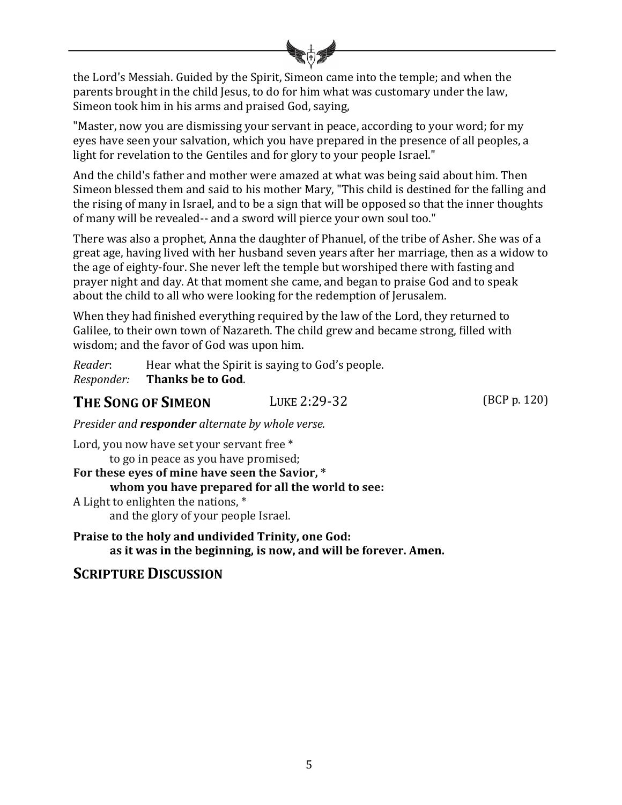the Lord's Messiah. Guided by the Spirit, Simeon came into the temple; and when the parents brought in the child Jesus, to do for him what was customary under the law, Simeon took him in his arms and praised God, saying,

"Master, now you are dismissing your servant in peace, according to your word; for my eyes have seen your salvation, which you have prepared in the presence of all peoples, a light for revelation to the Gentiles and for glory to your people Israel."

And the child's father and mother were amazed at what was being said about him. Then Simeon blessed them and said to his mother Mary, "This child is destined for the falling and the rising of many in Israel, and to be a sign that will be opposed so that the inner thoughts of many will be revealed-- and a sword will pierce your own soul too."

There was also a prophet, Anna the daughter of Phanuel, of the tribe of Asher. She was of a great age, having lived with her husband seven years after her marriage, then as a widow to the age of eighty-four. She never left the temple but worshiped there with fasting and prayer night and day. At that moment she came, and began to praise God and to speak about the child to all who were looking for the redemption of Jerusalem.

When they had finished everything required by the law of the Lord, they returned to Galilee, to their own town of Nazareth. The child grew and became strong, filled with wisdom; and the favor of God was upon him.

*Reader*: Hear what the Spirit is saying to God's people. *Responder:* **Thanks be to God**.

**THE SONG OF SIMEON** LUKE 2:29-32 (BCP p. 120)

*Presider and responder alternate by whole verse.* 

Lord, you now have set your servant free \* to go in peace as you have promised; For these eyes of mine have seen the Savior, \* **whom** you have prepared for all the world to see: A Light to enlighten the nations, \* and the glory of your people Israel.

**Praise to the holy and undivided Trinity, one God:** as it was in the beginning, is now, and will be forever. Amen.

### **SCRIPTURE DISCUSSION**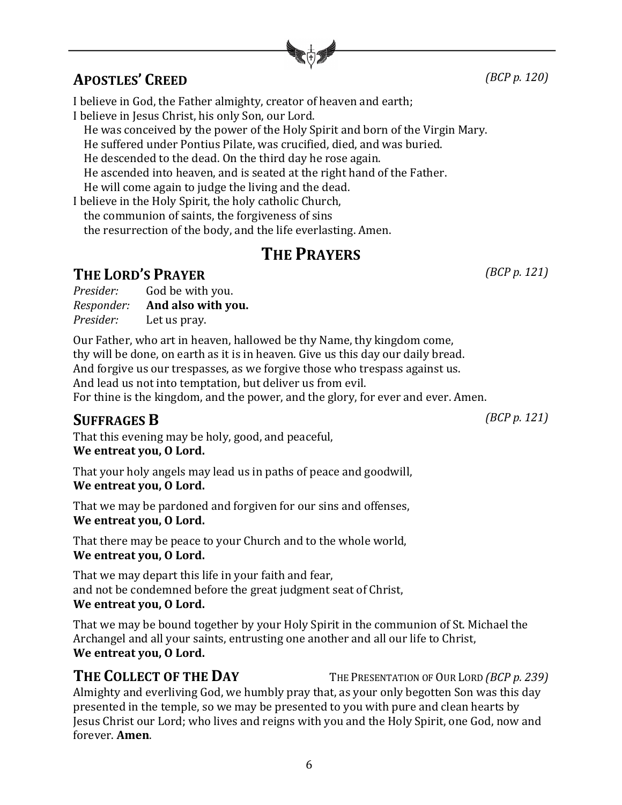# **APOSTLES' CREED** *(BCP p. 120)*

I believe in God, the Father almighty, creator of heaven and earth; I believe in Jesus Christ, his only Son, our Lord.

He was conceived by the power of the Holy Spirit and born of the Virgin Mary.

He suffered under Pontius Pilate, was crucified, died, and was buried.

He descended to the dead. On the third day he rose again.

He ascended into heaven, and is seated at the right hand of the Father.

He will come again to judge the living and the dead.

I believe in the Holy Spirit, the holy catholic Church,

the communion of saints, the forgiveness of sins

the resurrection of the body, and the life everlasting. Amen.

# **THE PRAYERS**

# **THE LORD'S PRAYER** *(BCP p. 121)*

| Presider:  | God be with you.   |
|------------|--------------------|
| Responder: | And also with you. |
| Presider:  | Let us pray.       |

Our Father, who art in heaven, hallowed be thy Name, thy kingdom come, thy will be done, on earth as it is in heaven. Give us this day our daily bread. And forgive us our trespasses, as we forgive those who trespass against us. And lead us not into temptation, but deliver us from evil. For thine is the kingdom, and the power, and the glory, for ever and ever. Amen.

# **SUFFRAGES B** *(BCP p. 121)*

That this evening may be holy, good, and peaceful, We entreat you, O Lord.

That your holy angels may lead us in paths of peace and goodwill, We entreat you, O Lord.

That we may be pardoned and forgiven for our sins and offenses, We entreat you, O Lord.

That there may be peace to your Church and to the whole world, We entreat you, O Lord.

That we may depart this life in your faith and fear, and not be condemned before the great judgment seat of Christ, We entreat you, O Lord.

That we may be bound together by your Holy Spirit in the communion of St. Michael the Archangel and all your saints, entrusting one another and all our life to Christ, We entreat you, O Lord.

**THE COLLECT OF THE DAY** THE PRESENTATION OF OUR LORD *(BCP p. 239)* 

Almighty and everliving God, we humbly pray that, as your only begotten Son was this day presented in the temple, so we may be presented to you with pure and clean hearts by Jesus Christ our Lord; who lives and reigns with you and the Holy Spirit, one God, now and forever. **Amen**.

6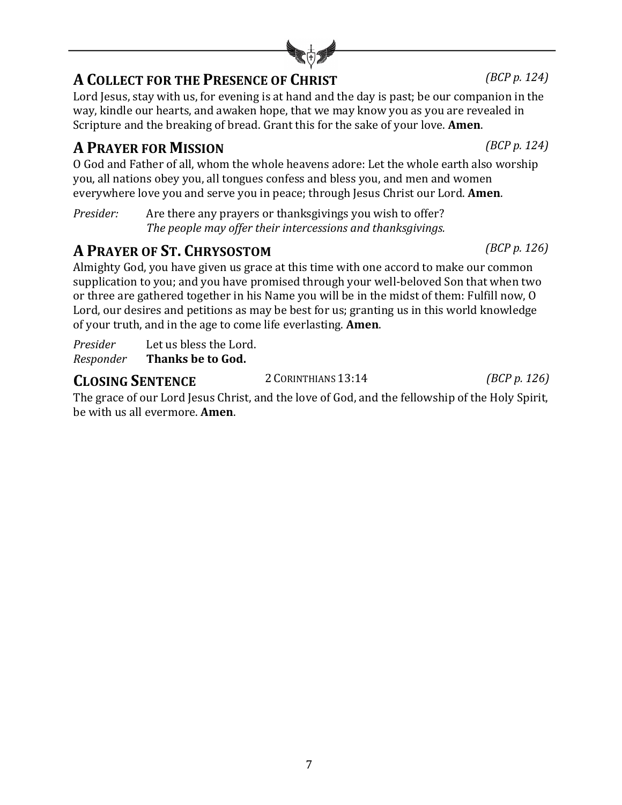# **A COLLECT FOR THE PRESENCE OF CHRIST** *(BCP p. 124)*

Lord Jesus, stay with us, for evening is at hand and the day is past; be our companion in the way, kindle our hearts, and awaken hope, that we may know you as you are revealed in Scripture and the breaking of bread. Grant this for the sake of your love. **Amen**.

# **A PRAYER FOR MISSION** *(BCP p. 124)*

O God and Father of all, whom the whole heavens adore: Let the whole earth also worship you, all nations obey you, all tongues confess and bless you, and men and women everywhere love you and serve you in peace; through Jesus Christ our Lord. **Amen**.

*Presider:* Are there any prayers or thanksgivings you wish to offer? *The people may offer their intercessions and thanksgivings.* 

# **A PRAYER OF ST. CHRYSOSTOM** *(BCP p. 126)*

Almighty God, you have given us grace at this time with one accord to make our common supplication to you; and you have promised through your well-beloved Son that when two or three are gathered together in his Name you will be in the midst of them: Fulfill now, O Lord, our desires and petitions as may be best for us; granting us in this world knowledge of your truth, and in the age to come life everlasting. **Amen**.

*Presider* Let us bless the Lord. **Responder Thanks be to God.** 

# **CLOSING SENTENCE** 2 CORINTHIANS 13:14 *(BCP p. 126)*

The grace of our Lord Jesus Christ, and the love of God, and the fellowship of the Holy Spirit, be with us all evermore. **Amen**.